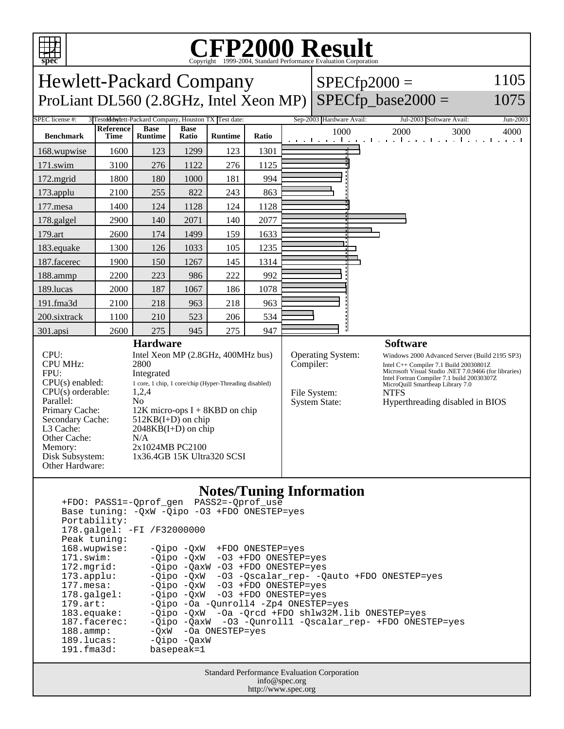

## **Notes/Tuning Information**

 +FDO: PASS1=-Qprof\_gen PASS2=-Qprof\_use Base tuning: -QxW -Qipo -O3 +FDO ONESTEP=yes Portability: 178.galgel: -FI /F32000000 Peak tuning: 168.wupwise: -Qipo -QxW +FDO ONESTEP=yes 171.swim: -Qipo -QxW -O3 +FDO ONESTEP=yes 172.mgrid: -Qipo -QaxW -O3 +FDO ONESTEP=yes<br>173.applu: -Qipo -QxW -O3 -Qscalar\_rep- -Q 173.applu: -Qipo -QxW -O3 -Qscalar\_rep- -Qauto +FDO ONESTEP=yes<br>177.mesa: - -Qipo -QxW -O3 +FDO ONESTEP=yes -Qipo -QxW -O3 +FDO ONESTEP=yes 178.galgel: -Qipo -QxW -O3 +FDO ONESTEP=yes 179.art: -Qipo -Oa -Qunroll4 -Zp4 ONESTEP=yes<br>183.equake: -Qipo -QxW -Oa -Orcd +FDO shlw32M.l 183.equake: -Qipo -QxW -Oa -Qrcd +FDO shlw32M.lib ONESTEP=yes 187.facerec: -Qipo -QaxW -O3 -Qunroll1 -Qscalar\_rep- +FDO ONESTEP=yes 188.ammp: -QxW -Oa ONESTEP=yes 189.lucas: - Qipo - QaxW 191.fma3d: basepeak=1

> Standard Performance Evaluation Corporation info@spec.org http://www.spec.org